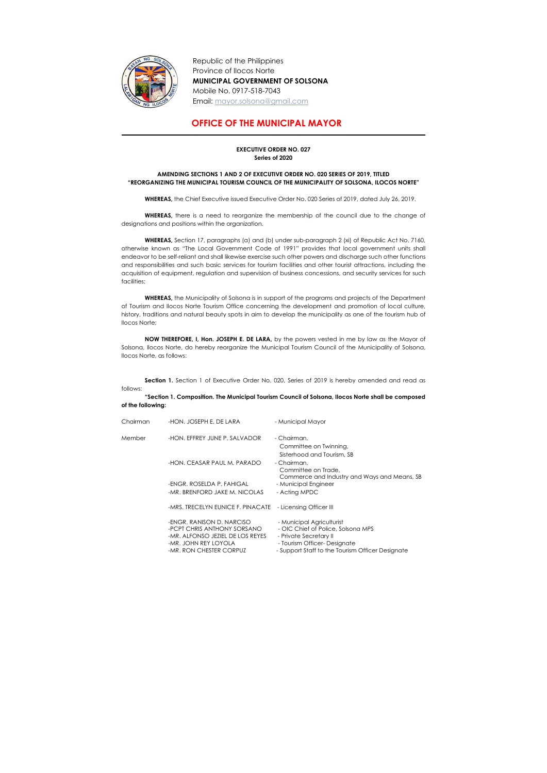

Republic of the Philippines Province of Ilocos Norte MUNICIPAL GOVERNMENT OF SOLSONA Mobile No. 0917-518-7043 Email: mayor.solsona@gmail.com

## OFFICE OF THE MUNICIPAL MAYOR

## EXECUTIVE ORDER NO. 027 Series of 2020

## AMENDING SECTIONS 1 AND 2 OF EXECUTIVE ORDER NO. 020 SERIES OF 2019, TITLED "REORGANIZING THE MUNICIPAL TOURISM COUNCIL OF THE MUNICIPALITY OF SOLSONA, ILOCOS NORTE"

WHEREAS, the Chief Executive issued Executive Order No. 020 Series of 2019, dated July 26, 2019.

WHEREAS, there is a need to reorganize the membership of the council due to the change of designations and positions within the organization.

WHEREAS, Section 17, paragraphs (a) and (b) under sub-paragraph 2 (xi) of Republic Act No. 7160, otherwise known as "The Local Government Code of 1991" provides that local government units shall endeavor to be self-reliant and shall likewise exercise such other powers and discharge such other functions and responsibilities and such basic services for tourism facilities and other tourist attractions, including the acquisition of equipment, regulation and supervision of business concessions, and security services for such facilities;

Section 1. Section 1 of Executive Order No. 020, Series of 2019 is hereby amended and read as follows:

WHEREAS, the Municipality of Solsona is in support of the programs and projects of the Department of Tourism and Ilocos Norte Tourism Office concerning the development and promotion of local culture, history, traditions and natural beauty spots in aim to develop the municipality as one of the tourism hub of Ilocos Norte;

NOW THEREFORE, I, Hon. JOSEPH E. DE LARA, by the powers vested in me by law as the Mayor of Solsona, Ilocos Norte, do hereby reorganize the Municipal Tourism Council of the Municipality of Solsona, Ilocos Norte, as follows:

|                   | "Section 1. Composition. The Municipal Tourism Council of Solsona, Ilocos Norte shall be composed |  |  |  |
|-------------------|---------------------------------------------------------------------------------------------------|--|--|--|
| of the following: |                                                                                                   |  |  |  |

| Chairman | -HON. JOSEPH E. DE LARA                                                                                                                         | - Municipal Mayor                                                                                                                                                            |
|----------|-------------------------------------------------------------------------------------------------------------------------------------------------|------------------------------------------------------------------------------------------------------------------------------------------------------------------------------|
| Member   | -HON. EFFREY JUNE P. SALVADOR                                                                                                                   | - Chairman,<br>Committee on Twinning,                                                                                                                                        |
|          | -HON. CEASAR PAUL M. PARADO                                                                                                                     | Sisterhood and Tourism, SB<br>- Chairman,<br>Committee on Trade,                                                                                                             |
|          | -ENGR. ROSELDA P. FAHIGAL<br>-MR. BRENFORD JAKE M. NICOLAS                                                                                      | Commerce and Industry and Ways and Means, SB<br>- Municipal Engineer<br>- Acting MPDC                                                                                        |
|          | -MRS. TRECELYN EUNICE F. PINACATE - Licensing Officer III                                                                                       |                                                                                                                                                                              |
|          | -ENGR. RANISON D. NARCISO<br>-PCPT CHRIS ANTHONY SORSANO<br>-MR. ALFONSO JEZIEL DE LOS REYES<br>-MR. JOHN REY LOYOLA<br>-MR. RON CHESTER CORPUZ | - Municipal Agriculturist<br>- OIC Chief of Police, Solsona MPS<br>- Private Secretary II<br>- Tourism Officer-Designate<br>- Support Staff to the Tourism Officer Designate |